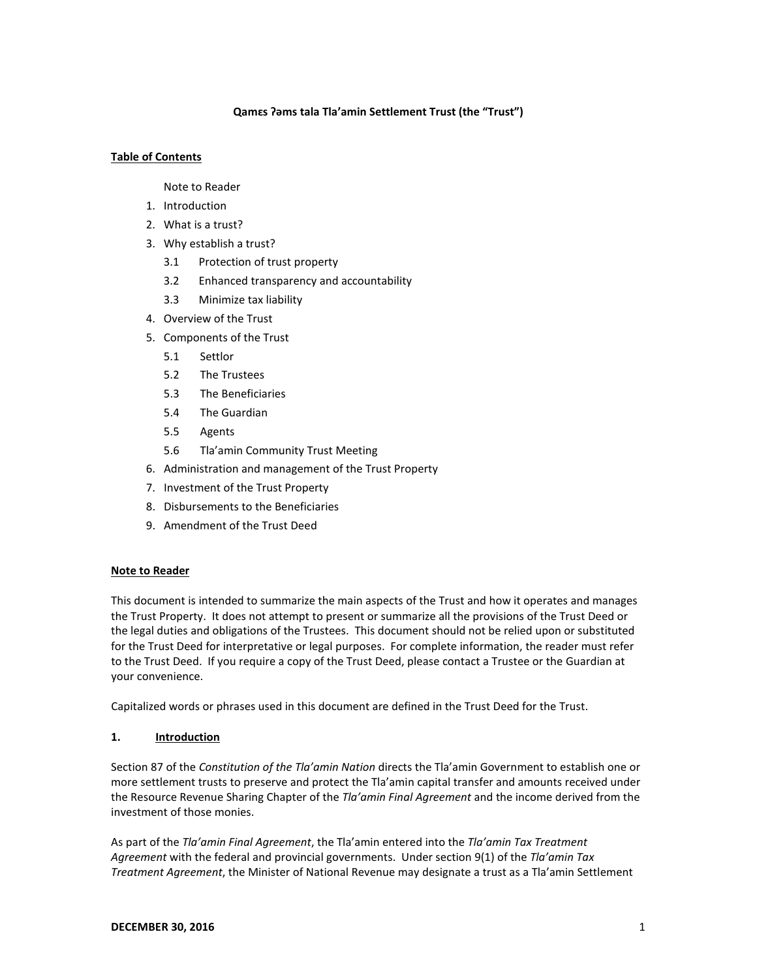# **Qamɛs ʔəms tala Tla'amin Settlement Trust (the "Trust")**

# **Table of Contents**

Note to Reader

- 1. Introduction
- 2. What is a trust?
- 3. Why establish a trust?
	- 3.1 Protection of trust property
	- 3.2 Enhanced transparency and accountability
	- 3.3 Minimize tax liability
- 4. Overview of the Trust
- 5. Components of the Trust
	- 5.1 Settlor
	- 5.2 The Trustees
	- 5.3 The Beneficiaries
	- 5.4 The Guardian
	- 5.5 Agents
	- 5.6 Tla'amin Community Trust Meeting
- 6. Administration and management of the Trust Property
- 7. Investment of the Trust Property
- 8. Disbursements to the Beneficiaries
- 9. Amendment of the Trust Deed

### **Note to Reader**

This document is intended to summarize the main aspects of the Trust and how it operates and manages the Trust Property. It does not attempt to present or summarize all the provisions of the Trust Deed or the legal duties and obligations of the Trustees. This document should not be relied upon or substituted for the Trust Deed for interpretative or legal purposes. For complete information, the reader must refer to the Trust Deed. If you require a copy of the Trust Deed, please contact a Trustee or the Guardian at your convenience.

Capitalized words or phrases used in this document are defined in the Trust Deed for the Trust.

### **1. Introduction**

Section 87 of the *Constitution of the Tla'amin Nation* directs the Tla'amin Government to establish one or more settlement trusts to preserve and protect the Tla'amin capital transfer and amounts received under the Resource Revenue Sharing Chapter of the *Tla'amin Final Agreement* and the income derived from the investment of those monies.

As part of the *Tla'amin Final Agreement*, the Tla'amin entered into the *Tla'amin Tax Treatment Agreement* with the federal and provincial governments. Under section 9(1) of the *Tla'amin Tax Treatment Agreement*, the Minister of National Revenue may designate a trust as a Tla'amin Settlement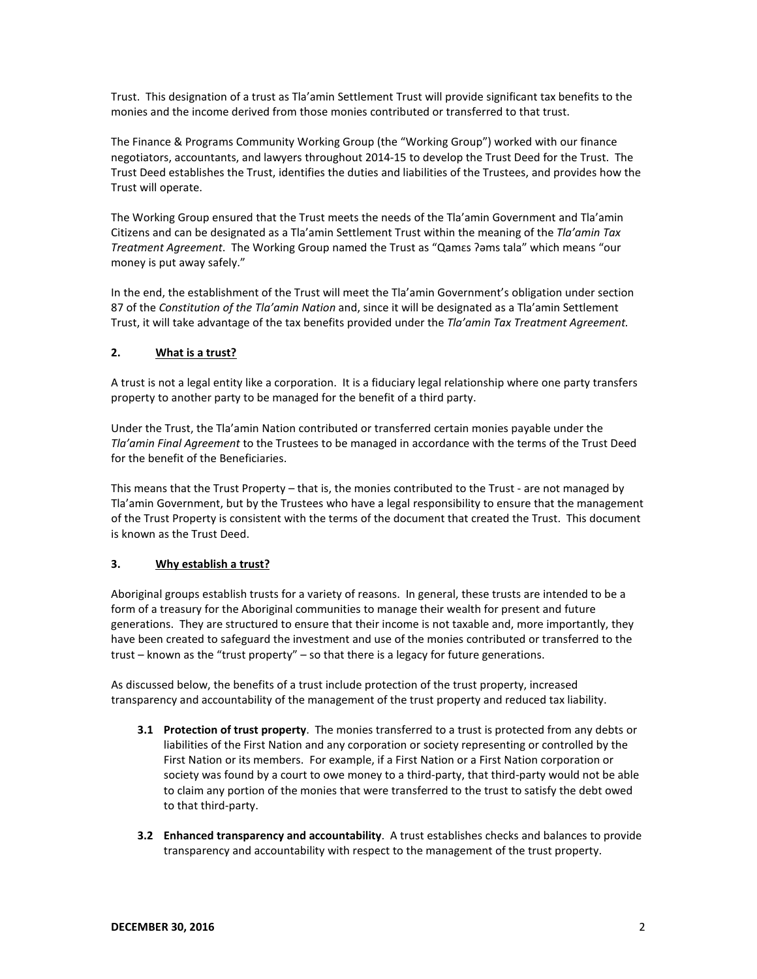Trust. This designation of a trust as Tla'amin Settlement Trust will provide significant tax benefits to the monies and the income derived from those monies contributed or transferred to that trust.

The Finance & Programs Community Working Group (the "Working Group") worked with our finance negotiators, accountants, and lawyers throughout 2014-15 to develop the Trust Deed for the Trust. The Trust Deed establishes the Trust, identifies the duties and liabilities of the Trustees, and provides how the Trust will operate.

The Working Group ensured that the Trust meets the needs of the Tla'amin Government and Tla'amin Citizens and can be designated as a Tla'amin Settlement Trust within the meaning of the *Tla'amin Tax Treatment Agreement*. The Working Group named the Trust as "Qamɛs ʔəms tala" which means "our money is put away safely."

In the end, the establishment of the Trust will meet the Tla'amin Government's obligation under section 87 of the *Constitution of the Tla'amin Nation* and, since it will be designated as a Tla'amin Settlement Trust, it will take advantage of the tax benefits provided under the *Tla'amin Tax Treatment Agreement.*

# **2. What is a trust?**

A trust is not a legal entity like a corporation. It is a fiduciary legal relationship where one party transfers property to another party to be managed for the benefit of a third party.

Under the Trust, the Tla'amin Nation contributed or transferred certain monies payable under the *Tla'amin Final Agreement* to the Trustees to be managed in accordance with the terms of the Trust Deed for the benefit of the Beneficiaries.

This means that the Trust Property – that is, the monies contributed to the Trust - are not managed by Tla'amin Government, but by the Trustees who have a legal responsibility to ensure that the management of the Trust Property is consistent with the terms of the document that created the Trust. This document is known as the Trust Deed.

# **3. Why establish a trust?**

Aboriginal groups establish trusts for a variety of reasons. In general, these trusts are intended to be a form of a treasury for the Aboriginal communities to manage their wealth for present and future generations. They are structured to ensure that their income is not taxable and, more importantly, they have been created to safeguard the investment and use of the monies contributed or transferred to the trust – known as the "trust property" – so that there is a legacy for future generations.

As discussed below, the benefits of a trust include protection of the trust property, increased transparency and accountability of the management of the trust property and reduced tax liability.

- **3.1 Protection of trust property**. The monies transferred to a trust is protected from any debts or liabilities of the First Nation and any corporation or society representing or controlled by the First Nation or its members. For example, if a First Nation or a First Nation corporation or society was found by a court to owe money to a third-party, that third-party would not be able to claim any portion of the monies that were transferred to the trust to satisfy the debt owed to that third-party.
- **3.2 Enhanced transparency and accountability**. A trust establishes checks and balances to provide transparency and accountability with respect to the management of the trust property.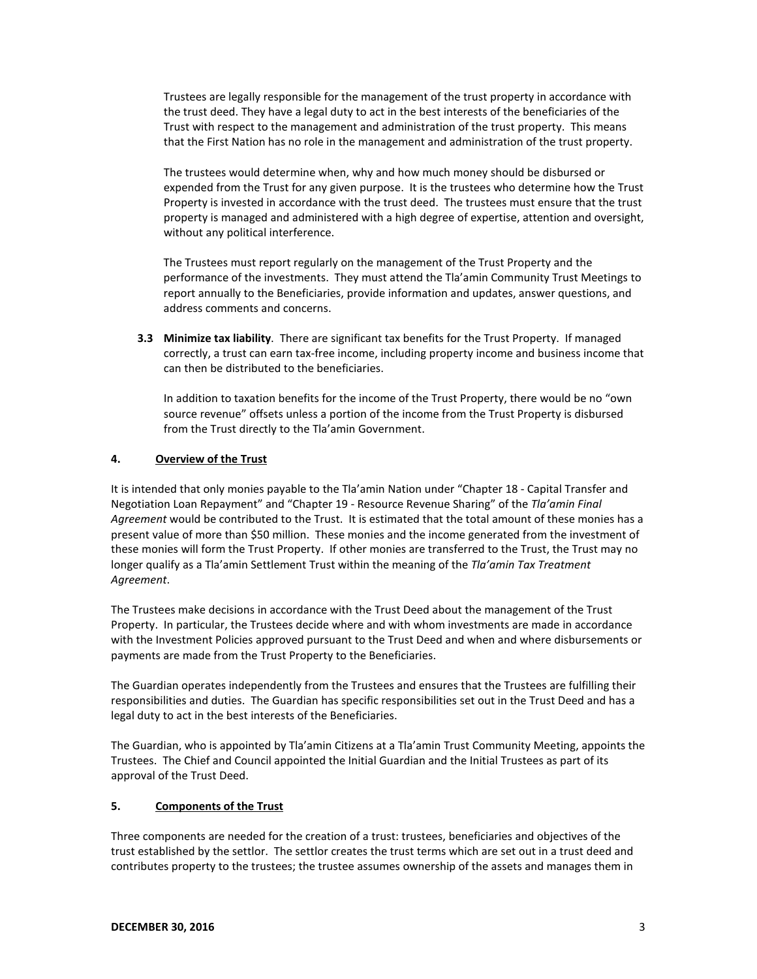Trustees are legally responsible for the management of the trust property in accordance with the trust deed. They have a legal duty to act in the best interests of the beneficiaries of the Trust with respect to the management and administration of the trust property. This means that the First Nation has no role in the management and administration of the trust property.

The trustees would determine when, why and how much money should be disbursed or expended from the Trust for any given purpose. It is the trustees who determine how the Trust Property is invested in accordance with the trust deed. The trustees must ensure that the trust property is managed and administered with a high degree of expertise, attention and oversight, without any political interference.

The Trustees must report regularly on the management of the Trust Property and the performance of the investments. They must attend the Tla'amin Community Trust Meetings to report annually to the Beneficiaries, provide information and updates, answer questions, and address comments and concerns.

**3.3 Minimize tax liability**. There are significant tax benefits for the Trust Property. If managed correctly, a trust can earn tax-free income, including property income and business income that can then be distributed to the beneficiaries.

In addition to taxation benefits for the income of the Trust Property, there would be no "own source revenue" offsets unless a portion of the income from the Trust Property is disbursed from the Trust directly to the Tla'amin Government.

# **4. Overview of the Trust**

It is intended that only monies payable to the Tla'amin Nation under "Chapter 18 - Capital Transfer and Negotiation Loan Repayment" and "Chapter 19 - Resource Revenue Sharing" of the *Tla'amin Final Agreement* would be contributed to the Trust. It is estimated that the total amount of these monies has a present value of more than \$50 million. These monies and the income generated from the investment of these monies will form the Trust Property. If other monies are transferred to the Trust, the Trust may no longer qualify as a Tla'amin Settlement Trust within the meaning of the *Tla'amin Tax Treatment Agreement*.

The Trustees make decisions in accordance with the Trust Deed about the management of the Trust Property. In particular, the Trustees decide where and with whom investments are made in accordance with the Investment Policies approved pursuant to the Trust Deed and when and where disbursements or payments are made from the Trust Property to the Beneficiaries.

The Guardian operates independently from the Trustees and ensures that the Trustees are fulfilling their responsibilities and duties. The Guardian has specific responsibilities set out in the Trust Deed and has a legal duty to act in the best interests of the Beneficiaries.

The Guardian, who is appointed by Tla'amin Citizens at a Tla'amin Trust Community Meeting, appoints the Trustees. The Chief and Council appointed the Initial Guardian and the Initial Trustees as part of its approval of the Trust Deed.

# **5. Components of the Trust**

Three components are needed for the creation of a trust: trustees, beneficiaries and objectives of the trust established by the settlor. The settlor creates the trust terms which are set out in a trust deed and contributes property to the trustees; the trustee assumes ownership of the assets and manages them in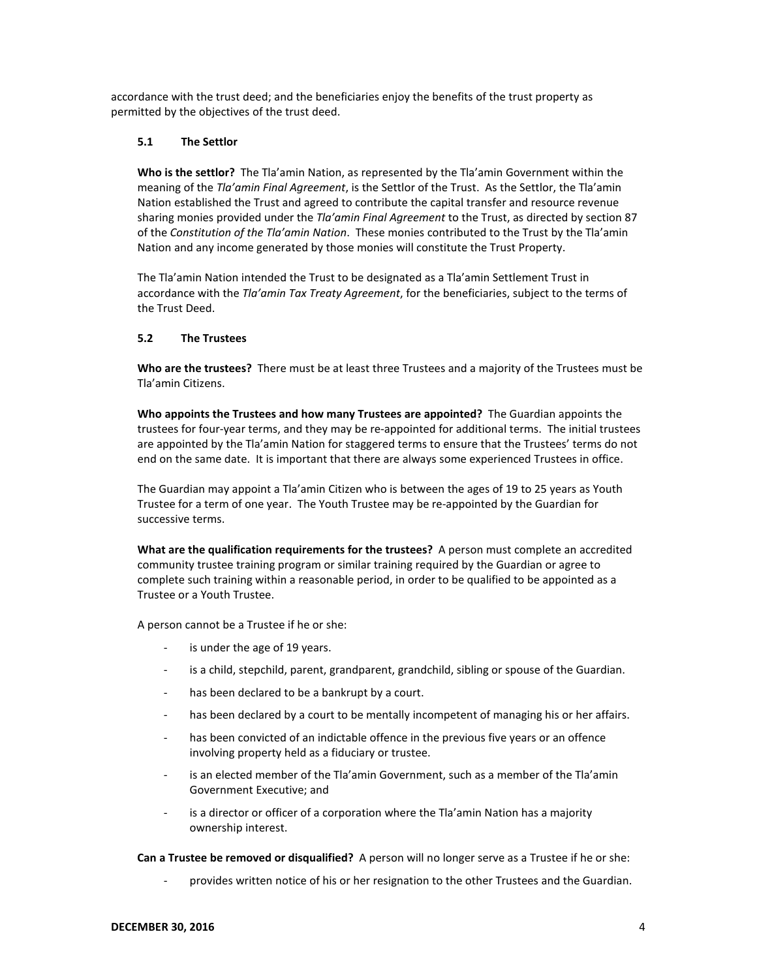accordance with the trust deed; and the beneficiaries enjoy the benefits of the trust property as permitted by the objectives of the trust deed.

### **5.1 The Settlor**

**Who is the settlor?** The Tla'amin Nation, as represented by the Tla'amin Government within the meaning of the *Tla'amin Final Agreement*, is the Settlor of the Trust. As the Settlor, the Tla'amin Nation established the Trust and agreed to contribute the capital transfer and resource revenue sharing monies provided under the *Tla'amin Final Agreement* to the Trust, as directed by section 87 of the *Constitution of the Tla'amin Nation*. These monies contributed to the Trust by the Tla'amin Nation and any income generated by those monies will constitute the Trust Property.

The Tla'amin Nation intended the Trust to be designated as a Tla'amin Settlement Trust in accordance with the *Tla'amin Tax Treaty Agreement*, for the beneficiaries, subject to the terms of the Trust Deed.

### **5.2 The Trustees**

**Who are the trustees?** There must be at least three Trustees and a majority of the Trustees must be Tla'amin Citizens.

**Who appoints the Trustees and how many Trustees are appointed?** The Guardian appoints the trustees for four-year terms, and they may be re-appointed for additional terms. The initial trustees are appointed by the Tla'amin Nation for staggered terms to ensure that the Trustees' terms do not end on the same date. It is important that there are always some experienced Trustees in office.

The Guardian may appoint a Tla'amin Citizen who is between the ages of 19 to 25 years as Youth Trustee for a term of one year. The Youth Trustee may be re-appointed by the Guardian for successive terms.

**What are the qualification requirements for the trustees?** A person must complete an accredited community trustee training program or similar training required by the Guardian or agree to complete such training within a reasonable period, in order to be qualified to be appointed as a Trustee or a Youth Trustee.

A person cannot be a Trustee if he or she:

- is under the age of 19 years.
- is a child, stepchild, parent, grandparent, grandchild, sibling or spouse of the Guardian.
- has been declared to be a bankrupt by a court.
- has been declared by a court to be mentally incompetent of managing his or her affairs.
- has been convicted of an indictable offence in the previous five years or an offence involving property held as a fiduciary or trustee.
- is an elected member of the Tla'amin Government, such as a member of the Tla'amin Government Executive; and
- is a director or officer of a corporation where the Tla'amin Nation has a majority ownership interest.

**Can a Trustee be removed or disqualified?** A person will no longer serve as a Trustee if he or she:

provides written notice of his or her resignation to the other Trustees and the Guardian.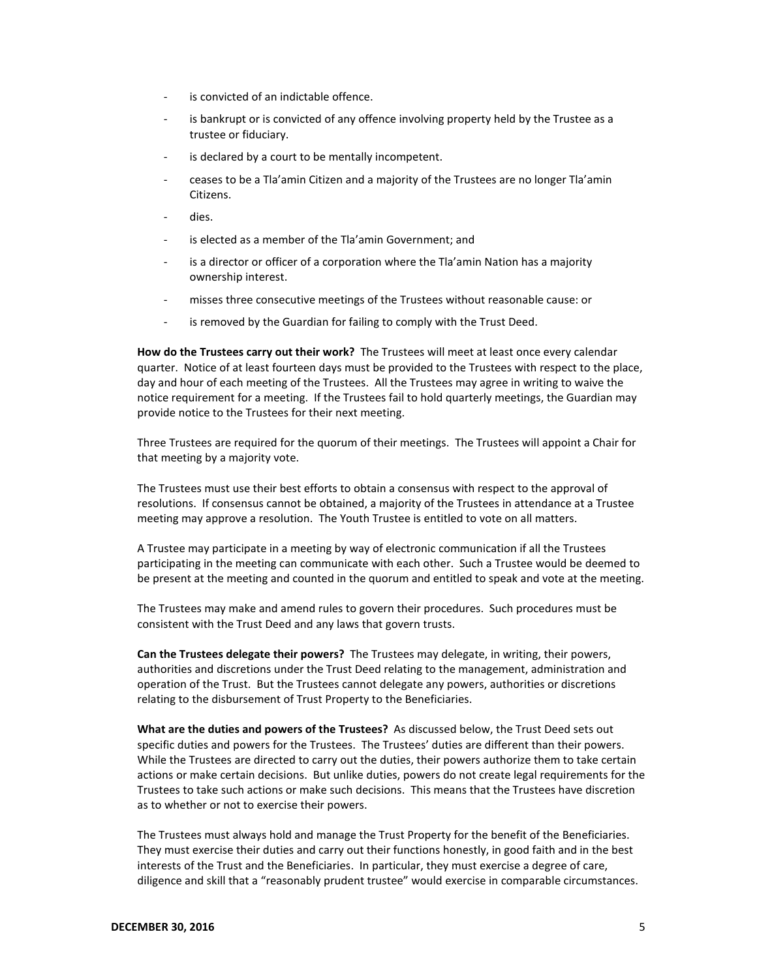- is convicted of an indictable offence.
- is bankrupt or is convicted of any offence involving property held by the Trustee as a trustee or fiduciary.
- is declared by a court to be mentally incompetent.
- ceases to be a Tla'amin Citizen and a majority of the Trustees are no longer Tla'amin Citizens.
- dies.
- is elected as a member of the Tla'amin Government; and
- is a director or officer of a corporation where the Tla'amin Nation has a majority ownership interest.
- misses three consecutive meetings of the Trustees without reasonable cause: or
- is removed by the Guardian for failing to comply with the Trust Deed.

**How do the Trustees carry out their work?** The Trustees will meet at least once every calendar quarter. Notice of at least fourteen days must be provided to the Trustees with respect to the place, day and hour of each meeting of the Trustees. All the Trustees may agree in writing to waive the notice requirement for a meeting. If the Trustees fail to hold quarterly meetings, the Guardian may provide notice to the Trustees for their next meeting.

Three Trustees are required for the quorum of their meetings. The Trustees will appoint a Chair for that meeting by a majority vote.

The Trustees must use their best efforts to obtain a consensus with respect to the approval of resolutions. If consensus cannot be obtained, a majority of the Trustees in attendance at a Trustee meeting may approve a resolution. The Youth Trustee is entitled to vote on all matters.

A Trustee may participate in a meeting by way of electronic communication if all the Trustees participating in the meeting can communicate with each other. Such a Trustee would be deemed to be present at the meeting and counted in the quorum and entitled to speak and vote at the meeting.

The Trustees may make and amend rules to govern their procedures. Such procedures must be consistent with the Trust Deed and any laws that govern trusts.

**Can the Trustees delegate their powers?** The Trustees may delegate, in writing, their powers, authorities and discretions under the Trust Deed relating to the management, administration and operation of the Trust. But the Trustees cannot delegate any powers, authorities or discretions relating to the disbursement of Trust Property to the Beneficiaries.

**What are the duties and powers of the Trustees?** As discussed below, the Trust Deed sets out specific duties and powers for the Trustees. The Trustees' duties are different than their powers. While the Trustees are directed to carry out the duties, their powers authorize them to take certain actions or make certain decisions. But unlike duties, powers do not create legal requirements for the Trustees to take such actions or make such decisions. This means that the Trustees have discretion as to whether or not to exercise their powers.

The Trustees must always hold and manage the Trust Property for the benefit of the Beneficiaries. They must exercise their duties and carry out their functions honestly, in good faith and in the best interests of the Trust and the Beneficiaries. In particular, they must exercise a degree of care, diligence and skill that a "reasonably prudent trustee" would exercise in comparable circumstances.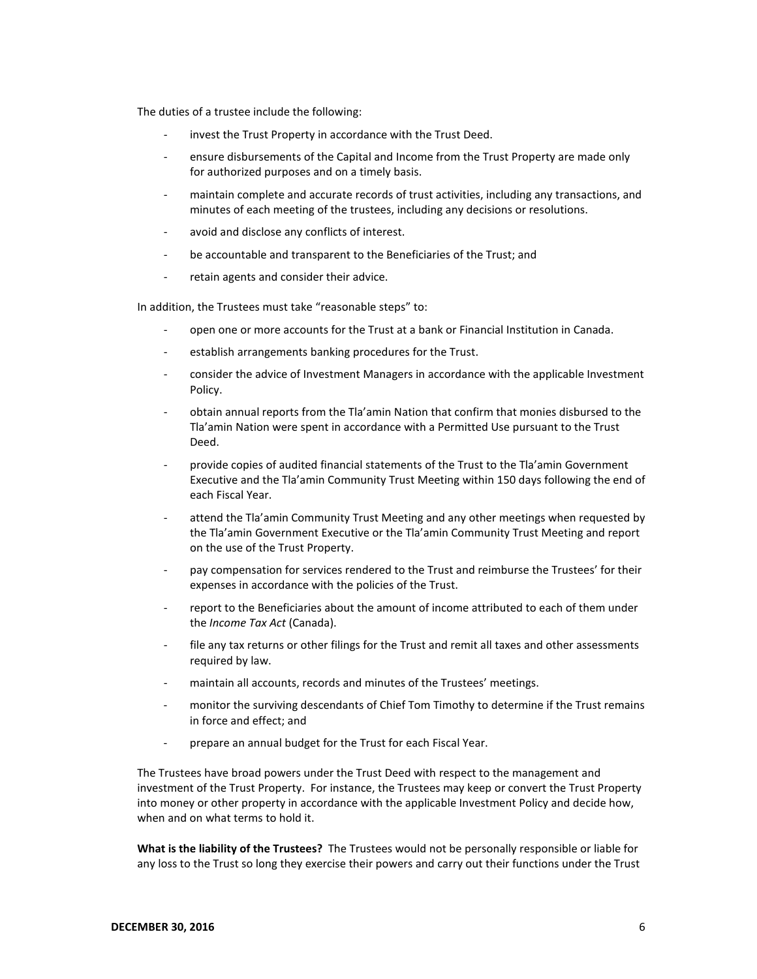The duties of a trustee include the following:

- invest the Trust Property in accordance with the Trust Deed.
- ensure disbursements of the Capital and Income from the Trust Property are made only for authorized purposes and on a timely basis.
- maintain complete and accurate records of trust activities, including any transactions, and minutes of each meeting of the trustees, including any decisions or resolutions.
- avoid and disclose any conflicts of interest.
- be accountable and transparent to the Beneficiaries of the Trust; and
- retain agents and consider their advice.

In addition, the Trustees must take "reasonable steps" to:

- open one or more accounts for the Trust at a bank or Financial Institution in Canada.
- establish arrangements banking procedures for the Trust.
- consider the advice of Investment Managers in accordance with the applicable Investment Policy.
- obtain annual reports from the Tla'amin Nation that confirm that monies disbursed to the Tla'amin Nation were spent in accordance with a Permitted Use pursuant to the Trust Deed.
- provide copies of audited financial statements of the Trust to the Tla'amin Government Executive and the Tla'amin Community Trust Meeting within 150 days following the end of each Fiscal Year.
- attend the Tla'amin Community Trust Meeting and any other meetings when requested by the Tla'amin Government Executive or the Tla'amin Community Trust Meeting and report on the use of the Trust Property.
- pay compensation for services rendered to the Trust and reimburse the Trustees' for their expenses in accordance with the policies of the Trust.
- report to the Beneficiaries about the amount of income attributed to each of them under the *Income Tax Act* (Canada).
- file any tax returns or other filings for the Trust and remit all taxes and other assessments required by law.
- maintain all accounts, records and minutes of the Trustees' meetings.
- monitor the surviving descendants of Chief Tom Timothy to determine if the Trust remains in force and effect; and
- prepare an annual budget for the Trust for each Fiscal Year.

The Trustees have broad powers under the Trust Deed with respect to the management and investment of the Trust Property. For instance, the Trustees may keep or convert the Trust Property into money or other property in accordance with the applicable Investment Policy and decide how, when and on what terms to hold it.

**What is the liability of the Trustees?** The Trustees would not be personally responsible or liable for any loss to the Trust so long they exercise their powers and carry out their functions under the Trust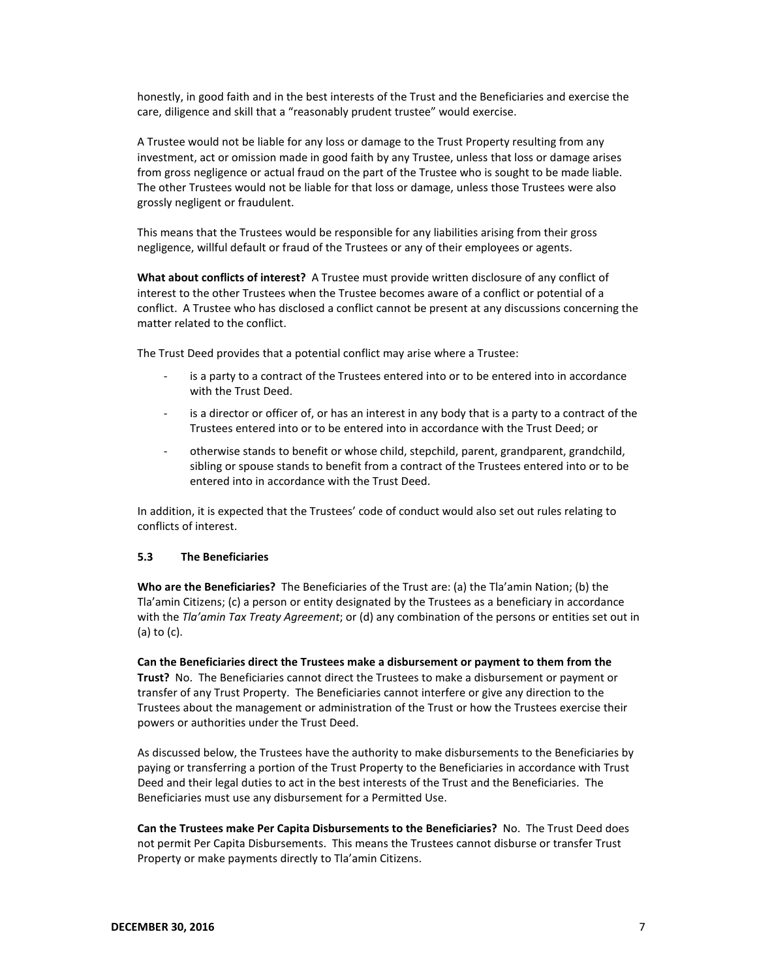honestly, in good faith and in the best interests of the Trust and the Beneficiaries and exercise the care, diligence and skill that a "reasonably prudent trustee" would exercise.

A Trustee would not be liable for any loss or damage to the Trust Property resulting from any investment, act or omission made in good faith by any Trustee, unless that loss or damage arises from gross negligence or actual fraud on the part of the Trustee who is sought to be made liable. The other Trustees would not be liable for that loss or damage, unless those Trustees were also grossly negligent or fraudulent.

This means that the Trustees would be responsible for any liabilities arising from their gross negligence, willful default or fraud of the Trustees or any of their employees or agents.

**What about conflicts of interest?** A Trustee must provide written disclosure of any conflict of interest to the other Trustees when the Trustee becomes aware of a conflict or potential of a conflict. A Trustee who has disclosed a conflict cannot be present at any discussions concerning the matter related to the conflict.

The Trust Deed provides that a potential conflict may arise where a Trustee:

- is a party to a contract of the Trustees entered into or to be entered into in accordance with the Trust Deed.
- is a director or officer of, or has an interest in any body that is a party to a contract of the Trustees entered into or to be entered into in accordance with the Trust Deed; or
- otherwise stands to benefit or whose child, stepchild, parent, grandparent, grandchild, sibling or spouse stands to benefit from a contract of the Trustees entered into or to be entered into in accordance with the Trust Deed.

In addition, it is expected that the Trustees' code of conduct would also set out rules relating to conflicts of interest.

### **5.3 The Beneficiaries**

**Who are the Beneficiaries?** The Beneficiaries of the Trust are: (a) the Tla'amin Nation; (b) the Tla'amin Citizens; (c) a person or entity designated by the Trustees as a beneficiary in accordance with the *Tla'amin Tax Treaty Agreement*; or (d) any combination of the persons or entities set out in (a) to (c).

**Can the Beneficiaries direct the Trustees make a disbursement or payment to them from the Trust?** No. The Beneficiaries cannot direct the Trustees to make a disbursement or payment or transfer of any Trust Property. The Beneficiaries cannot interfere or give any direction to the Trustees about the management or administration of the Trust or how the Trustees exercise their powers or authorities under the Trust Deed.

As discussed below, the Trustees have the authority to make disbursements to the Beneficiaries by paying or transferring a portion of the Trust Property to the Beneficiaries in accordance with Trust Deed and their legal duties to act in the best interests of the Trust and the Beneficiaries. The Beneficiaries must use any disbursement for a Permitted Use.

**Can the Trustees make Per Capita Disbursements to the Beneficiaries?** No. The Trust Deed does not permit Per Capita Disbursements. This means the Trustees cannot disburse or transfer Trust Property or make payments directly to Tla'amin Citizens.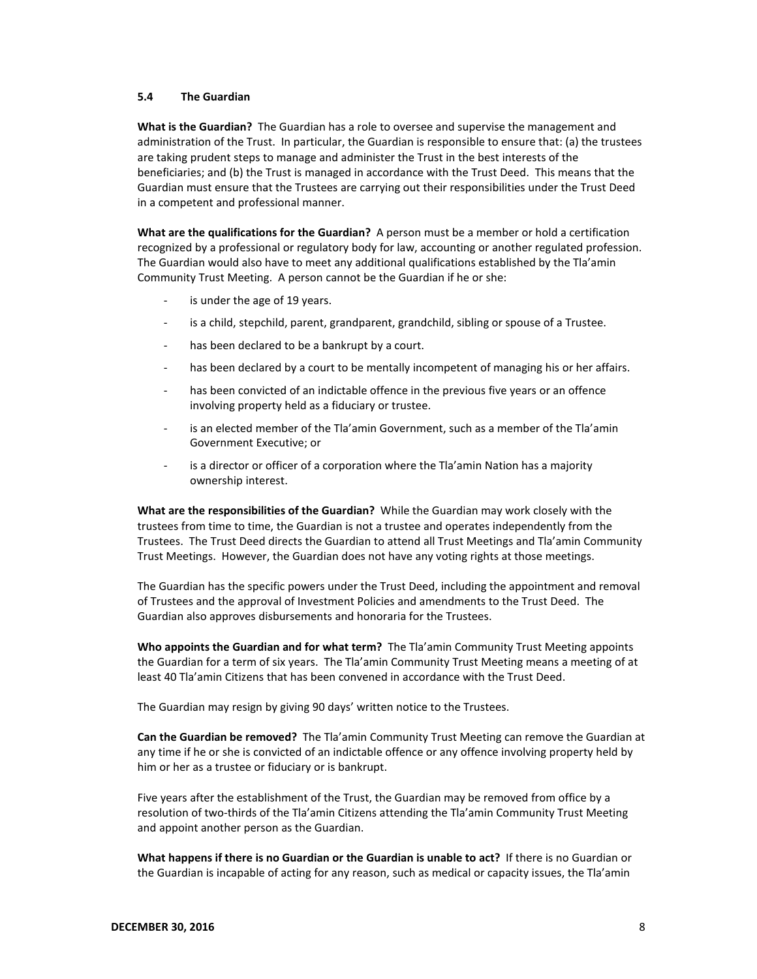### **5.4 The Guardian**

**What is the Guardian?** The Guardian has a role to oversee and supervise the management and administration of the Trust. In particular, the Guardian is responsible to ensure that: (a) the trustees are taking prudent steps to manage and administer the Trust in the best interests of the beneficiaries; and (b) the Trust is managed in accordance with the Trust Deed. This means that the Guardian must ensure that the Trustees are carrying out their responsibilities under the Trust Deed in a competent and professional manner.

**What are the qualifications for the Guardian?** A person must be a member or hold a certification recognized by a professional or regulatory body for law, accounting or another regulated profession. The Guardian would also have to meet any additional qualifications established by the Tla'amin Community Trust Meeting. A person cannot be the Guardian if he or she:

- is under the age of 19 years.
- is a child, stepchild, parent, grandparent, grandchild, sibling or spouse of a Trustee.
- has been declared to be a bankrupt by a court.
- has been declared by a court to be mentally incompetent of managing his or her affairs.
- has been convicted of an indictable offence in the previous five years or an offence involving property held as a fiduciary or trustee.
- is an elected member of the Tla'amin Government, such as a member of the Tla'amin Government Executive; or
- is a director or officer of a corporation where the Tla'amin Nation has a majority ownership interest.

**What are the responsibilities of the Guardian?** While the Guardian may work closely with the trustees from time to time, the Guardian is not a trustee and operates independently from the Trustees. The Trust Deed directs the Guardian to attend all Trust Meetings and Tla'amin Community Trust Meetings. However, the Guardian does not have any voting rights at those meetings.

The Guardian has the specific powers under the Trust Deed, including the appointment and removal of Trustees and the approval of Investment Policies and amendments to the Trust Deed. The Guardian also approves disbursements and honoraria for the Trustees.

**Who appoints the Guardian and for what term?** The Tla'amin Community Trust Meeting appoints the Guardian for a term of six years. The Tla'amin Community Trust Meeting means a meeting of at least 40 Tla'amin Citizens that has been convened in accordance with the Trust Deed.

The Guardian may resign by giving 90 days' written notice to the Trustees.

**Can the Guardian be removed?** The Tla'amin Community Trust Meeting can remove the Guardian at any time if he or she is convicted of an indictable offence or any offence involving property held by him or her as a trustee or fiduciary or is bankrupt.

Five years after the establishment of the Trust, the Guardian may be removed from office by a resolution of two-thirds of the Tla'amin Citizens attending the Tla'amin Community Trust Meeting and appoint another person as the Guardian.

**What happens if there is no Guardian or the Guardian is unable to act?** If there is no Guardian or the Guardian is incapable of acting for any reason, such as medical or capacity issues, the Tla'amin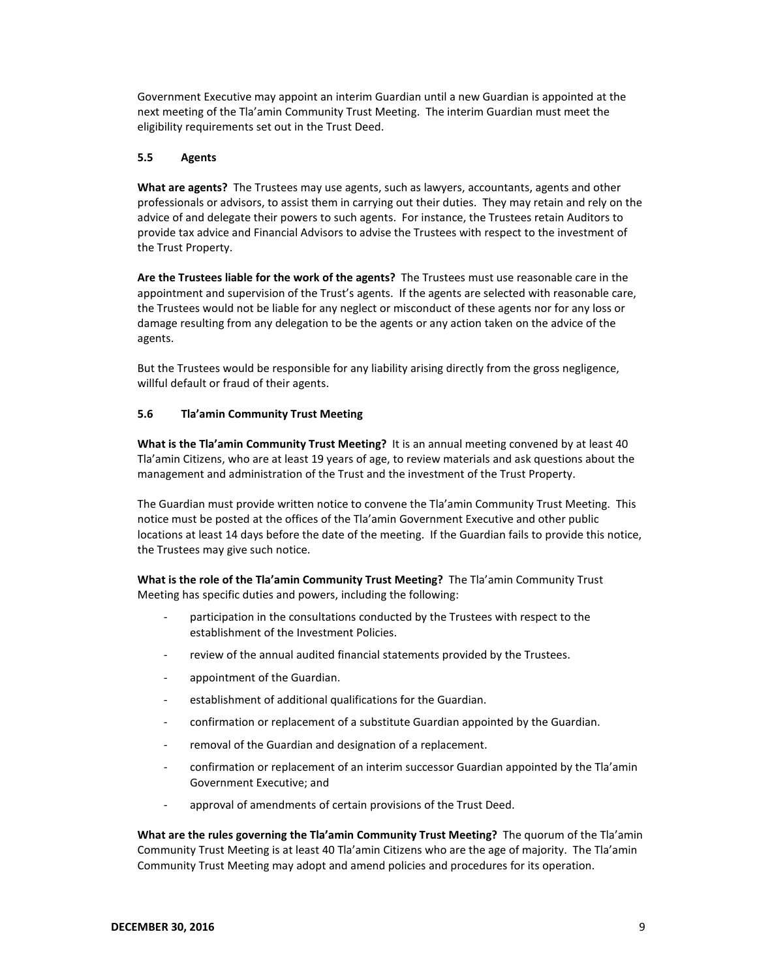Government Executive may appoint an interim Guardian until a new Guardian is appointed at the next meeting of the Tla'amin Community Trust Meeting. The interim Guardian must meet the eligibility requirements set out in the Trust Deed.

### **5.5 Agents**

**What are agents?** The Trustees may use agents, such as lawyers, accountants, agents and other professionals or advisors, to assist them in carrying out their duties. They may retain and rely on the advice of and delegate their powers to such agents. For instance, the Trustees retain Auditors to provide tax advice and Financial Advisors to advise the Trustees with respect to the investment of the Trust Property.

**Are the Trustees liable for the work of the agents?** The Trustees must use reasonable care in the appointment and supervision of the Trust's agents. If the agents are selected with reasonable care, the Trustees would not be liable for any neglect or misconduct of these agents nor for any loss or damage resulting from any delegation to be the agents or any action taken on the advice of the agents.

But the Trustees would be responsible for any liability arising directly from the gross negligence, willful default or fraud of their agents.

### **5.6 Tla'amin Community Trust Meeting**

**What is the Tla'amin Community Trust Meeting?** It is an annual meeting convened by at least 40 Tla'amin Citizens, who are at least 19 years of age, to review materials and ask questions about the management and administration of the Trust and the investment of the Trust Property.

The Guardian must provide written notice to convene the Tla'amin Community Trust Meeting. This notice must be posted at the offices of the Tla'amin Government Executive and other public locations at least 14 days before the date of the meeting. If the Guardian fails to provide this notice, the Trustees may give such notice.

**What is the role of the Tla'amin Community Trust Meeting?** The Tla'amin Community Trust Meeting has specific duties and powers, including the following:

- participation in the consultations conducted by the Trustees with respect to the establishment of the Investment Policies.
- review of the annual audited financial statements provided by the Trustees.
- appointment of the Guardian.
- establishment of additional qualifications for the Guardian.
- confirmation or replacement of a substitute Guardian appointed by the Guardian.
- removal of the Guardian and designation of a replacement.
- confirmation or replacement of an interim successor Guardian appointed by the Tla'amin Government Executive; and
- approval of amendments of certain provisions of the Trust Deed.

**What are the rules governing the Tla'amin Community Trust Meeting?** The quorum of the Tla'amin Community Trust Meeting is at least 40 Tla'amin Citizens who are the age of majority. The Tla'amin Community Trust Meeting may adopt and amend policies and procedures for its operation.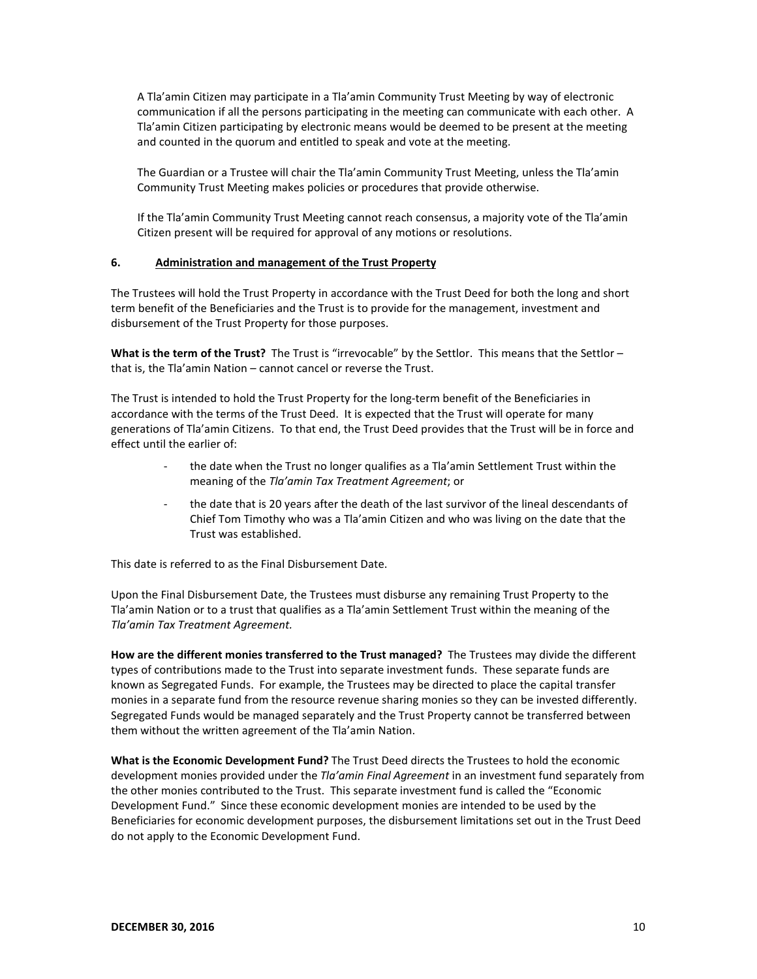A Tla'amin Citizen may participate in a Tla'amin Community Trust Meeting by way of electronic communication if all the persons participating in the meeting can communicate with each other. A Tla'amin Citizen participating by electronic means would be deemed to be present at the meeting and counted in the quorum and entitled to speak and vote at the meeting.

The Guardian or a Trustee will chair the Tla'amin Community Trust Meeting, unless the Tla'amin Community Trust Meeting makes policies or procedures that provide otherwise.

If the Tla'amin Community Trust Meeting cannot reach consensus, a majority vote of the Tla'amin Citizen present will be required for approval of any motions or resolutions.

### **6. Administration and management of the Trust Property**

The Trustees will hold the Trust Property in accordance with the Trust Deed for both the long and short term benefit of the Beneficiaries and the Trust is to provide for the management, investment and disbursement of the Trust Property for those purposes.

**What is the term of the Trust?** The Trust is "irrevocable" by the Settlor. This means that the Settlor – that is, the Tla'amin Nation – cannot cancel or reverse the Trust.

The Trust is intended to hold the Trust Property for the long-term benefit of the Beneficiaries in accordance with the terms of the Trust Deed. It is expected that the Trust will operate for many generations of Tla'amin Citizens. To that end, the Trust Deed provides that the Trust will be in force and effect until the earlier of:

- the date when the Trust no longer qualifies as a Tla'amin Settlement Trust within the meaning of the *Tla'amin Tax Treatment Agreement*; or
- the date that is 20 years after the death of the last survivor of the lineal descendants of Chief Tom Timothy who was a Tla'amin Citizen and who was living on the date that the Trust was established.

This date is referred to as the Final Disbursement Date.

Upon the Final Disbursement Date, the Trustees must disburse any remaining Trust Property to the Tla'amin Nation or to a trust that qualifies as a Tla'amin Settlement Trust within the meaning of the *Tla'amin Tax Treatment Agreement.*

**How are the different monies transferred to the Trust managed?** The Trustees may divide the different types of contributions made to the Trust into separate investment funds. These separate funds are known as Segregated Funds. For example, the Trustees may be directed to place the capital transfer monies in a separate fund from the resource revenue sharing monies so they can be invested differently. Segregated Funds would be managed separately and the Trust Property cannot be transferred between them without the written agreement of the Tla'amin Nation.

**What is the Economic Development Fund?** The Trust Deed directs the Trustees to hold the economic development monies provided under the *Tla'amin Final Agreement* in an investment fund separately from the other monies contributed to the Trust. This separate investment fund is called the "Economic Development Fund." Since these economic development monies are intended to be used by the Beneficiaries for economic development purposes, the disbursement limitations set out in the Trust Deed do not apply to the Economic Development Fund.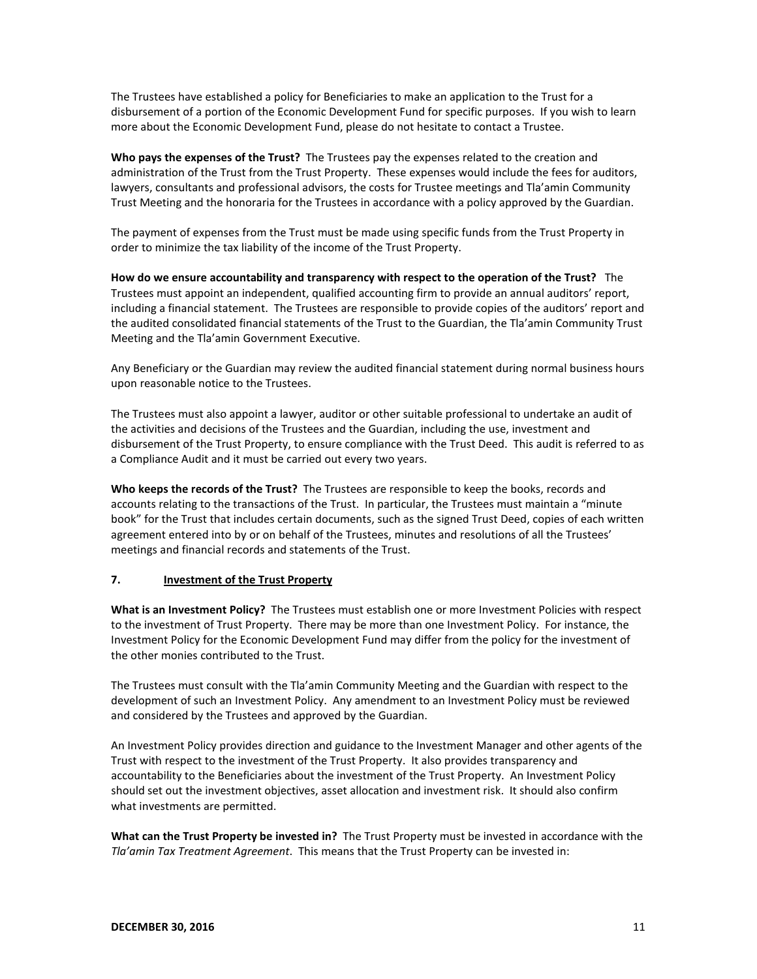The Trustees have established a policy for Beneficiaries to make an application to the Trust for a disbursement of a portion of the Economic Development Fund for specific purposes. If you wish to learn more about the Economic Development Fund, please do not hesitate to contact a Trustee.

**Who pays the expenses of the Trust?** The Trustees pay the expenses related to the creation and administration of the Trust from the Trust Property. These expenses would include the fees for auditors, lawyers, consultants and professional advisors, the costs for Trustee meetings and Tla'amin Community Trust Meeting and the honoraria for the Trustees in accordance with a policy approved by the Guardian.

The payment of expenses from the Trust must be made using specific funds from the Trust Property in order to minimize the tax liability of the income of the Trust Property.

**How do we ensure accountability and transparency with respect to the operation of the Trust?** The Trustees must appoint an independent, qualified accounting firm to provide an annual auditors' report, including a financial statement. The Trustees are responsible to provide copies of the auditors' report and the audited consolidated financial statements of the Trust to the Guardian, the Tla'amin Community Trust Meeting and the Tla'amin Government Executive.

Any Beneficiary or the Guardian may review the audited financial statement during normal business hours upon reasonable notice to the Trustees.

The Trustees must also appoint a lawyer, auditor or other suitable professional to undertake an audit of the activities and decisions of the Trustees and the Guardian, including the use, investment and disbursement of the Trust Property, to ensure compliance with the Trust Deed. This audit is referred to as a Compliance Audit and it must be carried out every two years.

**Who keeps the records of the Trust?** The Trustees are responsible to keep the books, records and accounts relating to the transactions of the Trust. In particular, the Trustees must maintain a "minute book" for the Trust that includes certain documents, such as the signed Trust Deed, copies of each written agreement entered into by or on behalf of the Trustees, minutes and resolutions of all the Trustees' meetings and financial records and statements of the Trust.

### **7. Investment of the Trust Property**

**What is an Investment Policy?** The Trustees must establish one or more Investment Policies with respect to the investment of Trust Property. There may be more than one Investment Policy. For instance, the Investment Policy for the Economic Development Fund may differ from the policy for the investment of the other monies contributed to the Trust.

The Trustees must consult with the Tla'amin Community Meeting and the Guardian with respect to the development of such an Investment Policy. Any amendment to an Investment Policy must be reviewed and considered by the Trustees and approved by the Guardian.

An Investment Policy provides direction and guidance to the Investment Manager and other agents of the Trust with respect to the investment of the Trust Property. It also provides transparency and accountability to the Beneficiaries about the investment of the Trust Property. An Investment Policy should set out the investment objectives, asset allocation and investment risk. It should also confirm what investments are permitted.

**What can the Trust Property be invested in?** The Trust Property must be invested in accordance with the *Tla'amin Tax Treatment Agreement*. This means that the Trust Property can be invested in: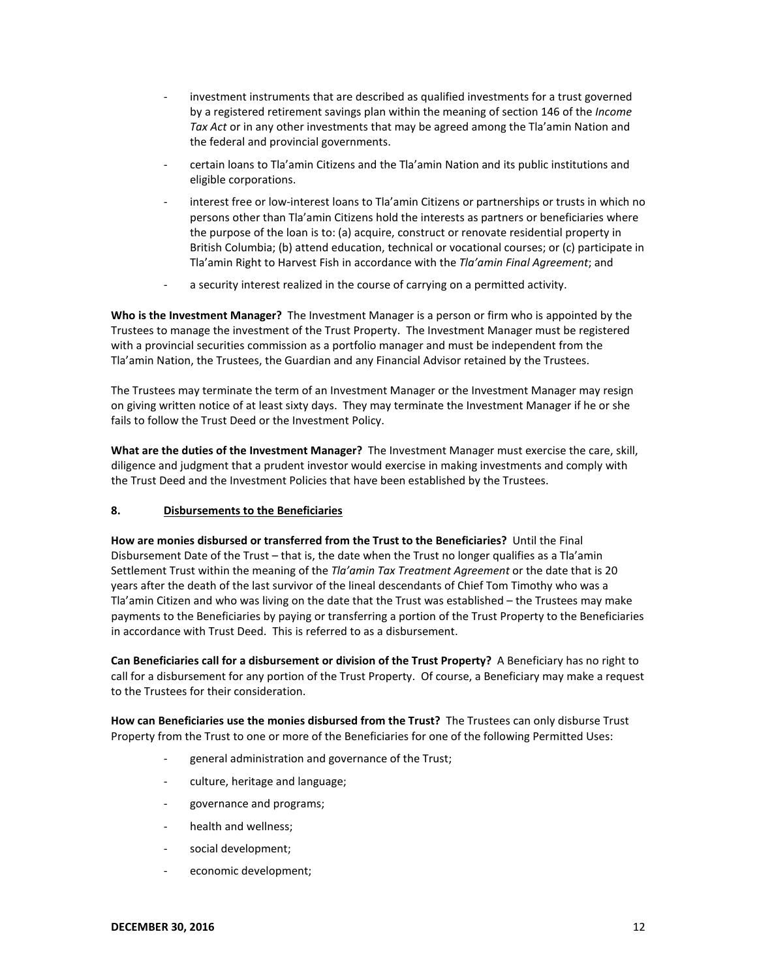- investment instruments that are described as qualified investments for a trust governed by a registered retirement savings plan within the meaning of section 146 of the *Income Tax Act* or in any other investments that may be agreed among the Tla'amin Nation and the federal and provincial governments.
- certain loans to Tla'amin Citizens and the Tla'amin Nation and its public institutions and eligible corporations.
- interest free or low-interest loans to Tla'amin Citizens or partnerships or trusts in which no persons other than Tla'amin Citizens hold the interests as partners or beneficiaries where the purpose of the loan is to: (a) acquire, construct or renovate residential property in British Columbia; (b) attend education, technical or vocational courses; or (c) participate in Tla'amin Right to Harvest Fish in accordance with the *Tla'amin Final Agreement*; and
- a security interest realized in the course of carrying on a permitted activity.

**Who is the Investment Manager?** The Investment Manager is a person or firm who is appointed by the Trustees to manage the investment of the Trust Property. The Investment Manager must be registered with a provincial securities commission as a portfolio manager and must be independent from the Tla'amin Nation, the Trustees, the Guardian and any Financial Advisor retained by the Trustees.

The Trustees may terminate the term of an Investment Manager or the Investment Manager may resign on giving written notice of at least sixty days. They may terminate the Investment Manager if he or she fails to follow the Trust Deed or the Investment Policy.

**What are the duties of the Investment Manager?** The Investment Manager must exercise the care, skill, diligence and judgment that a prudent investor would exercise in making investments and comply with the Trust Deed and the Investment Policies that have been established by the Trustees.

# **8. Disbursements to the Beneficiaries**

**How are monies disbursed or transferred from the Trust to the Beneficiaries?** Until the Final Disbursement Date of the Trust – that is, the date when the Trust no longer qualifies as a Tla'amin Settlement Trust within the meaning of the *Tla'amin Tax Treatment Agreement* or the date that is 20 years after the death of the last survivor of the lineal descendants of Chief Tom Timothy who was a Tla'amin Citizen and who was living on the date that the Trust was established – the Trustees may make payments to the Beneficiaries by paying or transferring a portion of the Trust Property to the Beneficiaries in accordance with Trust Deed. This is referred to as a disbursement.

**Can Beneficiaries call for a disbursement or division of the Trust Property?** A Beneficiary has no right to call for a disbursement for any portion of the Trust Property. Of course, a Beneficiary may make a request to the Trustees for their consideration.

**How can Beneficiaries use the monies disbursed from the Trust?** The Trustees can only disburse Trust Property from the Trust to one or more of the Beneficiaries for one of the following Permitted Uses:

- general administration and governance of the Trust;
- culture, heritage and language;
- governance and programs;
- health and wellness;
- social development;
- economic development;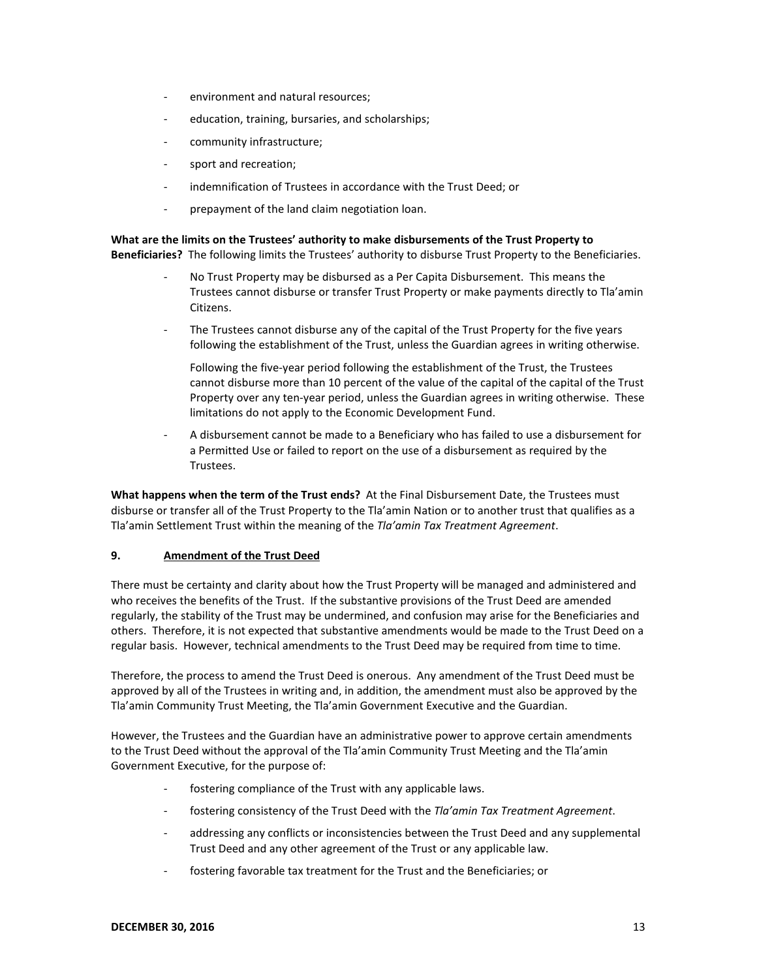- environment and natural resources;
- education, training, bursaries, and scholarships;
- community infrastructure;
- sport and recreation;
- indemnification of Trustees in accordance with the Trust Deed; or
- prepayment of the land claim negotiation loan.

**What are the limits on the Trustees' authority to make disbursements of the Trust Property to Beneficiaries?** The following limits the Trustees' authority to disburse Trust Property to the Beneficiaries.

- No Trust Property may be disbursed as a Per Capita Disbursement. This means the Trustees cannot disburse or transfer Trust Property or make payments directly to Tla'amin Citizens.
- The Trustees cannot disburse any of the capital of the Trust Property for the five years following the establishment of the Trust, unless the Guardian agrees in writing otherwise.

Following the five-year period following the establishment of the Trust, the Trustees cannot disburse more than 10 percent of the value of the capital of the capital of the Trust Property over any ten-year period, unless the Guardian agrees in writing otherwise. These limitations do not apply to the Economic Development Fund.

A disbursement cannot be made to a Beneficiary who has failed to use a disbursement for a Permitted Use or failed to report on the use of a disbursement as required by the Trustees.

**What happens when the term of the Trust ends?** At the Final Disbursement Date, the Trustees must disburse or transfer all of the Trust Property to the Tla'amin Nation or to another trust that qualifies as a Tla'amin Settlement Trust within the meaning of the *Tla'amin Tax Treatment Agreement*.

### **9. Amendment of the Trust Deed**

There must be certainty and clarity about how the Trust Property will be managed and administered and who receives the benefits of the Trust. If the substantive provisions of the Trust Deed are amended regularly, the stability of the Trust may be undermined, and confusion may arise for the Beneficiaries and others. Therefore, it is not expected that substantive amendments would be made to the Trust Deed on a regular basis. However, technical amendments to the Trust Deed may be required from time to time.

Therefore, the process to amend the Trust Deed is onerous. Any amendment of the Trust Deed must be approved by all of the Trustees in writing and, in addition, the amendment must also be approved by the Tla'amin Community Trust Meeting, the Tla'amin Government Executive and the Guardian.

However, the Trustees and the Guardian have an administrative power to approve certain amendments to the Trust Deed without the approval of the Tla'amin Community Trust Meeting and the Tla'amin Government Executive, for the purpose of:

- fostering compliance of the Trust with any applicable laws.
- fostering consistency of the Trust Deed with the *Tla'amin Tax Treatment Agreement*.
- addressing any conflicts or inconsistencies between the Trust Deed and any supplemental Trust Deed and any other agreement of the Trust or any applicable law.
- fostering favorable tax treatment for the Trust and the Beneficiaries; or